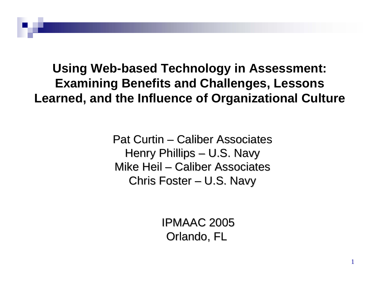**Using Web-based Technology in Assessment: Examining Benefits and Challenges, Lessons Learned, and the Influence of Organizational Culture**

> Pat Curtin – Caliber Associates Henry Phillips – U.S. Navy Mike Heil – Caliber Associates Caliber AssociatesChris Foster – – U.S. Navy

> > IPMAAC 2005 Orlando, FL

> > > 1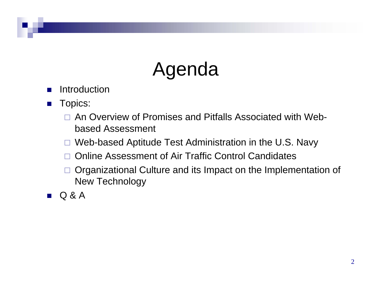### Agenda

- L. Introduction
- $\mathcal{L}^{\text{max}}$  Topics:
	- $\Box$  An Overview of Promises and Pitfalls Associated with Webbased Assessment
	- $\Box$ Web-based Aptitude Test Administration in the U.S. Navy
	- □ Online Assessment of Air Traffic Control Candidates
	- $\Box$  Organizational Culture and its Impact on the Implementation of New Technology
- $\mathcal{L}(\mathcal{A})$ Q & A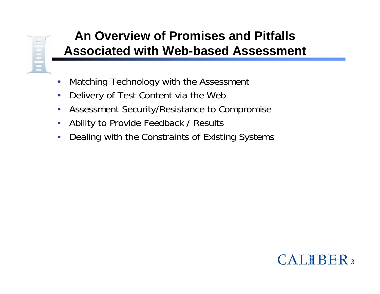# n Lucius

### **An Overview of Promises and Pitfalls Associated with Web-based Assessment**

- •Matching Technology with the Assessment
- •Delivery of Test Content via the Web
- •Assessment Security/Resistance to Compromise
- •Ability to Provide Feedback / Results
- •Dealing with the Constraints of Existing Systems

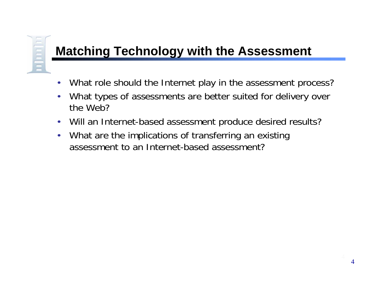### **Matching Technology with the Assessment**

- •What role should the Internet play in the assessment process?
- • What types of assessments are better suited for delivery over the Web?
- $\bullet$ Will an Internet-based assessment produce desired results?
- • What are the implications of transferring an existing assessment to an Internet-based assessment?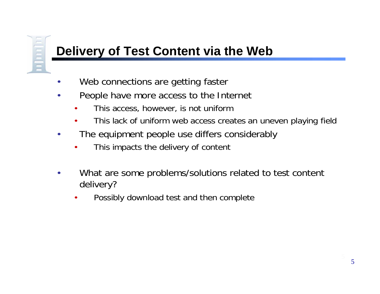## **THEFT**

### **Delivery of Test Content via the Web**

- •Web connections are getting faster
- • People have more access to the Internet
	- •This access, however, is not uniform
	- •This lack of uniform web access creates an uneven playing field
- • The equipment people use differs considerably
	- •This impacts the delivery of content
- • What are some problems/solutions related to test content delivery?
	- •Possibly download test and then complete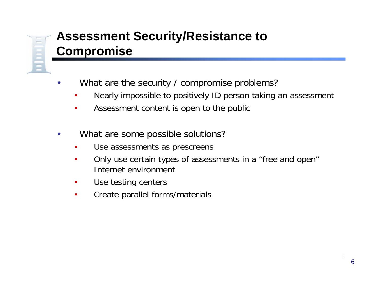

### **Assessment Security/Resistance to Compromise**

- •What are the security / compromise problems?
	- •Nearly impossible to positively ID person taking an assessment
	- •Assessment content is open to the public
- • What are some possible solutions?
	- •Use assessments as prescreens
	- • Only use certain types of assessments in a "free and open" Internet environment
	- $\bullet$ Use testing centers
	- $\bullet$ Create parallel forms/materials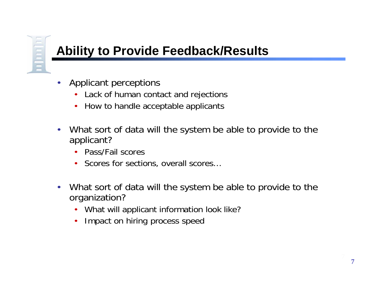

### **Ability to Provide Feedback/Results**

- • Applicant perceptions
	- $\bullet$ Lack of human contact and rejections
	- $\bullet$ How to handle acceptable applicants
- • What sort of data will the system be able to provide to the applicant?
	- Pass/Fail scores
	- Scores for sections, overall scores...
- $\bullet$  What sort of data will the system be able to provide to the organization?
	- $\bullet$ What will applicant information look like?
	- $\bullet$ Impact on hiring process speed